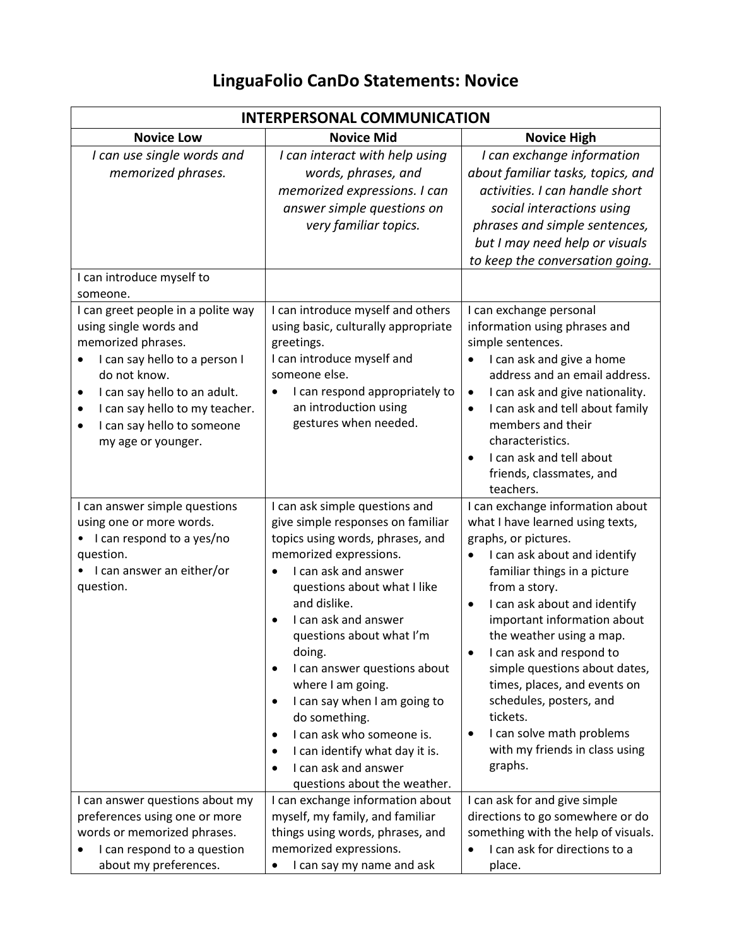## **LinguaFolio CanDo Statements: Novice**

| <b>INTERPERSONAL COMMUNICATION</b>                                                                                                                                                                                                                                                            |                                                                                                                                                                                                                                                                                                                                                                                                                                                                                                                                                      |                                                                                                                                                                                                                                                                                                                                                                                                                                                                                                                  |
|-----------------------------------------------------------------------------------------------------------------------------------------------------------------------------------------------------------------------------------------------------------------------------------------------|------------------------------------------------------------------------------------------------------------------------------------------------------------------------------------------------------------------------------------------------------------------------------------------------------------------------------------------------------------------------------------------------------------------------------------------------------------------------------------------------------------------------------------------------------|------------------------------------------------------------------------------------------------------------------------------------------------------------------------------------------------------------------------------------------------------------------------------------------------------------------------------------------------------------------------------------------------------------------------------------------------------------------------------------------------------------------|
| <b>Novice Low</b>                                                                                                                                                                                                                                                                             | <b>Novice Mid</b>                                                                                                                                                                                                                                                                                                                                                                                                                                                                                                                                    | <b>Novice High</b>                                                                                                                                                                                                                                                                                                                                                                                                                                                                                               |
| I can use single words and<br>memorized phrases.                                                                                                                                                                                                                                              | I can interact with help using<br>words, phrases, and<br>memorized expressions. I can<br>answer simple questions on<br>very familiar topics.                                                                                                                                                                                                                                                                                                                                                                                                         | I can exchange information<br>about familiar tasks, topics, and<br>activities. I can handle short<br>social interactions using<br>phrases and simple sentences,<br>but I may need help or visuals<br>to keep the conversation going.                                                                                                                                                                                                                                                                             |
| I can introduce myself to<br>someone.                                                                                                                                                                                                                                                         |                                                                                                                                                                                                                                                                                                                                                                                                                                                                                                                                                      |                                                                                                                                                                                                                                                                                                                                                                                                                                                                                                                  |
| I can greet people in a polite way<br>using single words and<br>memorized phrases.<br>I can say hello to a person I<br>$\bullet$<br>do not know.<br>I can say hello to an adult.<br>٠<br>I can say hello to my teacher.<br>٠<br>I can say hello to someone<br>$\bullet$<br>my age or younger. | I can introduce myself and others<br>using basic, culturally appropriate<br>greetings.<br>I can introduce myself and<br>someone else.<br>I can respond appropriately to<br>an introduction using<br>gestures when needed.                                                                                                                                                                                                                                                                                                                            | I can exchange personal<br>information using phrases and<br>simple sentences.<br>I can ask and give a home<br>address and an email address.<br>I can ask and give nationality.<br>$\bullet$<br>I can ask and tell about family<br>$\bullet$<br>members and their<br>characteristics.<br>I can ask and tell about<br>friends, classmates, and<br>teachers.                                                                                                                                                        |
| I can answer simple questions<br>using one or more words.<br>I can respond to a yes/no<br>question.<br>I can answer an either/or<br>question.                                                                                                                                                 | I can ask simple questions and<br>give simple responses on familiar<br>topics using words, phrases, and<br>memorized expressions.<br>I can ask and answer<br>questions about what I like<br>and dislike.<br>I can ask and answer<br>questions about what I'm<br>doing.<br>I can answer questions about<br>$\bullet$<br>where I am going.<br>I can say when I am going to<br>$\bullet$<br>do something.<br>I can ask who someone is.<br>٠<br>I can identify what day it is.<br>٠<br>I can ask and answer<br>$\bullet$<br>questions about the weather. | I can exchange information about<br>what I have learned using texts,<br>graphs, or pictures.<br>I can ask about and identify<br>familiar things in a picture<br>from a story.<br>I can ask about and identify<br>$\bullet$<br>important information about<br>the weather using a map.<br>I can ask and respond to<br>simple questions about dates,<br>times, places, and events on<br>schedules, posters, and<br>tickets.<br>I can solve math problems<br>$\bullet$<br>with my friends in class using<br>graphs. |
| I can answer questions about my<br>preferences using one or more<br>words or memorized phrases.<br>I can respond to a question<br>about my preferences.                                                                                                                                       | I can exchange information about<br>myself, my family, and familiar<br>things using words, phrases, and<br>memorized expressions.<br>I can say my name and ask                                                                                                                                                                                                                                                                                                                                                                                       | I can ask for and give simple<br>directions to go somewhere or do<br>something with the help of visuals.<br>I can ask for directions to a<br>place.                                                                                                                                                                                                                                                                                                                                                              |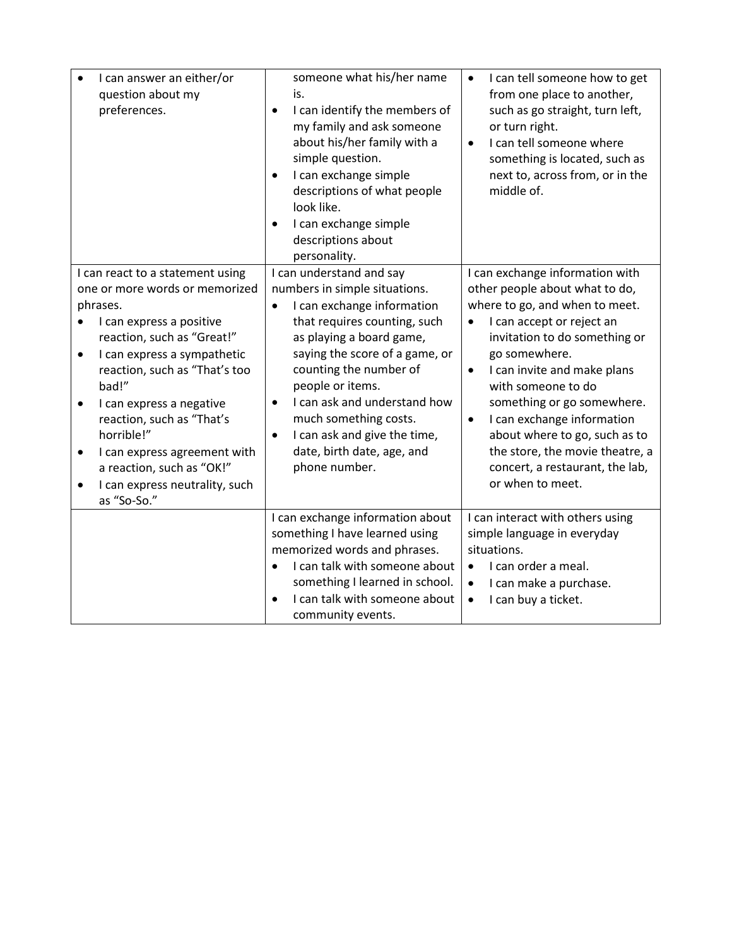| I can answer an either/or<br>question about my<br>preferences.                                                                                                                                                                                                                                                                                                                                                                                             | someone what his/her name<br>is.<br>I can identify the members of<br>$\bullet$<br>my family and ask someone<br>about his/her family with a<br>simple question.<br>I can exchange simple<br>$\bullet$<br>descriptions of what people<br>look like.<br>I can exchange simple<br>descriptions about<br>personality.                                                                                                   | I can tell someone how to get<br>$\bullet$<br>from one place to another,<br>such as go straight, turn left,<br>or turn right.<br>I can tell someone where<br>$\bullet$<br>something is located, such as<br>next to, across from, or in the<br>middle of.                                                                                                                                                                                                              |
|------------------------------------------------------------------------------------------------------------------------------------------------------------------------------------------------------------------------------------------------------------------------------------------------------------------------------------------------------------------------------------------------------------------------------------------------------------|--------------------------------------------------------------------------------------------------------------------------------------------------------------------------------------------------------------------------------------------------------------------------------------------------------------------------------------------------------------------------------------------------------------------|-----------------------------------------------------------------------------------------------------------------------------------------------------------------------------------------------------------------------------------------------------------------------------------------------------------------------------------------------------------------------------------------------------------------------------------------------------------------------|
| I can react to a statement using<br>one or more words or memorized<br>phrases.<br>I can express a positive<br>reaction, such as "Great!"<br>I can express a sympathetic<br>$\bullet$<br>reaction, such as "That's too<br>bad!"<br>I can express a negative<br>$\bullet$<br>reaction, such as "That's<br>horrible!"<br>I can express agreement with<br>$\bullet$<br>a reaction, such as "OK!"<br>I can express neutrality, such<br>$\bullet$<br>as "So-So." | I can understand and say<br>numbers in simple situations.<br>I can exchange information<br>$\bullet$<br>that requires counting, such<br>as playing a board game,<br>saying the score of a game, or<br>counting the number of<br>people or items.<br>I can ask and understand how<br>$\bullet$<br>much something costs.<br>I can ask and give the time,<br>$\bullet$<br>date, birth date, age, and<br>phone number. | I can exchange information with<br>other people about what to do,<br>where to go, and when to meet.<br>I can accept or reject an<br>$\bullet$<br>invitation to do something or<br>go somewhere.<br>I can invite and make plans<br>$\bullet$<br>with someone to do<br>something or go somewhere.<br>I can exchange information<br>$\bullet$<br>about where to go, such as to<br>the store, the movie theatre, a<br>concert, a restaurant, the lab,<br>or when to meet. |
|                                                                                                                                                                                                                                                                                                                                                                                                                                                            | I can exchange information about<br>something I have learned using<br>memorized words and phrases.<br>I can talk with someone about<br>something I learned in school.<br>I can talk with someone about<br>$\bullet$<br>community events.                                                                                                                                                                           | I can interact with others using<br>simple language in everyday<br>situations.<br>I can order a meal.<br>I can make a purchase.<br>$\bullet$<br>I can buy a ticket.<br>$\bullet$                                                                                                                                                                                                                                                                                      |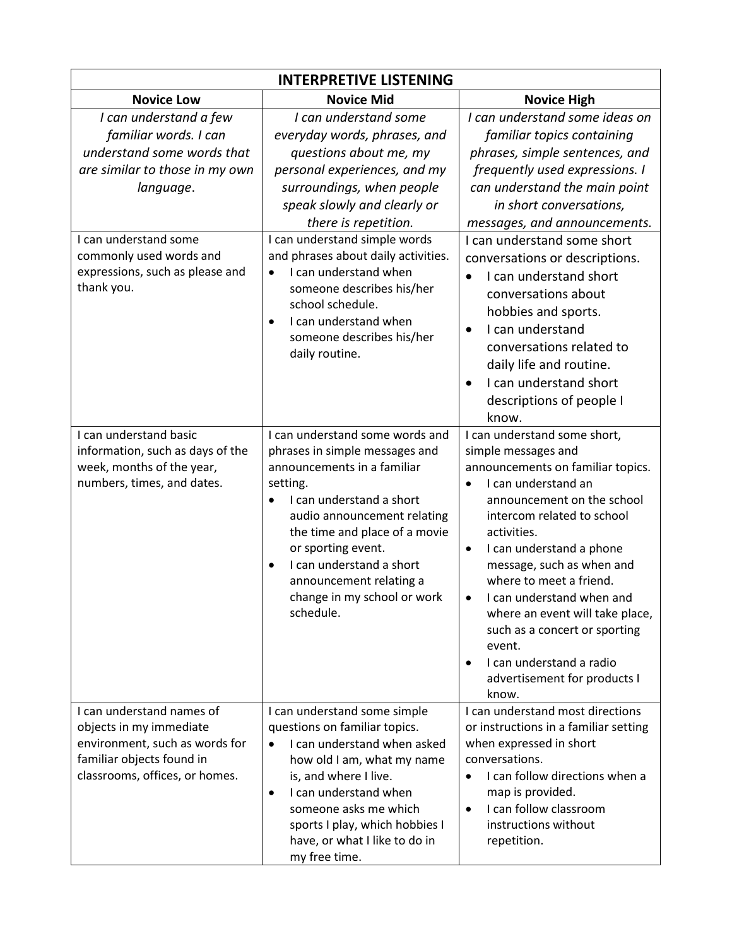| <b>INTERPRETIVE LISTENING</b>                                                                                                                                                                                                     |                                                                                                                                                                                                                                                                                                                                                                                                                                                         |                                                                                                                                                                                                                                                                                                                                                                                                                                                                                                                                                        |  |
|-----------------------------------------------------------------------------------------------------------------------------------------------------------------------------------------------------------------------------------|---------------------------------------------------------------------------------------------------------------------------------------------------------------------------------------------------------------------------------------------------------------------------------------------------------------------------------------------------------------------------------------------------------------------------------------------------------|--------------------------------------------------------------------------------------------------------------------------------------------------------------------------------------------------------------------------------------------------------------------------------------------------------------------------------------------------------------------------------------------------------------------------------------------------------------------------------------------------------------------------------------------------------|--|
| <b>Novice Low</b>                                                                                                                                                                                                                 | <b>Novice Mid</b>                                                                                                                                                                                                                                                                                                                                                                                                                                       | <b>Novice High</b>                                                                                                                                                                                                                                                                                                                                                                                                                                                                                                                                     |  |
| I can understand a few<br>familiar words. I can<br>understand some words that<br>are similar to those in my own<br>language.<br>I can understand some<br>commonly used words and<br>expressions, such as please and<br>thank you. | I can understand some<br>everyday words, phrases, and<br>questions about me, my<br>personal experiences, and my<br>surroundings, when people<br>speak slowly and clearly or<br>there is repetition.<br>I can understand simple words<br>and phrases about daily activities.<br>I can understand when<br>$\bullet$<br>someone describes his/her<br>school schedule.<br>I can understand when<br>$\bullet$<br>someone describes his/her<br>daily routine. | I can understand some ideas on<br>familiar topics containing<br>phrases, simple sentences, and<br>frequently used expressions. I<br>can understand the main point<br>in short conversations,<br>messages, and announcements.<br>I can understand some short<br>conversations or descriptions.<br>I can understand short<br>$\bullet$<br>conversations about<br>hobbies and sports.<br>I can understand<br>$\bullet$<br>conversations related to<br>daily life and routine.<br>I can understand short<br>$\bullet$<br>descriptions of people I<br>know. |  |
| I can understand basic<br>information, such as days of the<br>week, months of the year,<br>numbers, times, and dates.                                                                                                             | I can understand some words and<br>phrases in simple messages and<br>announcements in a familiar<br>setting.<br>I can understand a short<br>audio announcement relating<br>the time and place of a movie<br>or sporting event.<br>I can understand a short<br>$\bullet$<br>announcement relating a<br>change in my school or work<br>schedule.                                                                                                          | I can understand some short,<br>simple messages and<br>announcements on familiar topics.<br>I can understand an<br>$\bullet$<br>announcement on the school<br>intercom related to school<br>activities.<br>I can understand a phone<br>$\bullet$<br>message, such as when and<br>where to meet a friend.<br>I can understand when and<br>$\bullet$<br>where an event will take place,<br>such as a concert or sporting<br>event.<br>I can understand a radio<br>$\bullet$<br>advertisement for products I<br>know.                                     |  |
| I can understand names of<br>objects in my immediate<br>environment, such as words for<br>familiar objects found in<br>classrooms, offices, or homes.                                                                             | I can understand some simple<br>questions on familiar topics.<br>I can understand when asked<br>how old I am, what my name<br>is, and where I live.<br>I can understand when<br>$\bullet$<br>someone asks me which<br>sports I play, which hobbies I<br>have, or what I like to do in<br>my free time.                                                                                                                                                  | I can understand most directions<br>or instructions in a familiar setting<br>when expressed in short<br>conversations.<br>I can follow directions when a<br>$\bullet$<br>map is provided.<br>I can follow classroom<br>$\bullet$<br>instructions without<br>repetition.                                                                                                                                                                                                                                                                                |  |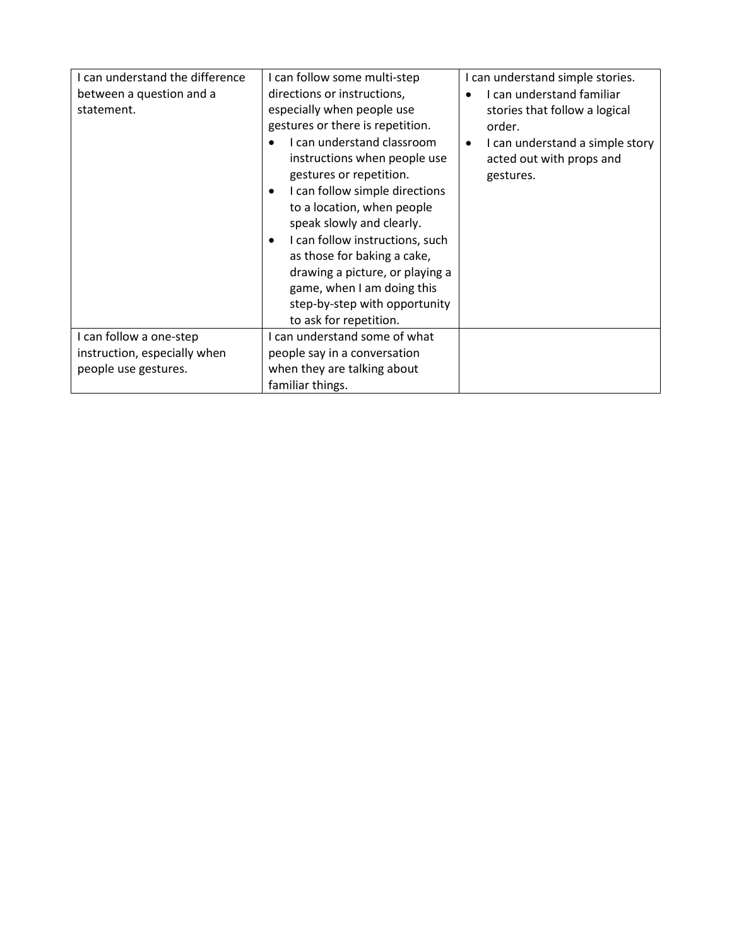| I can understand the difference | I can follow some multi-step                 | I can understand simple stories.             |
|---------------------------------|----------------------------------------------|----------------------------------------------|
| between a question and a        | directions or instructions,                  | I can understand familiar                    |
| statement.                      | especially when people use                   | stories that follow a logical                |
|                                 | gestures or there is repetition.             | order.                                       |
|                                 | I can understand classroom                   | I can understand a simple story<br>$\bullet$ |
|                                 | instructions when people use                 | acted out with props and                     |
|                                 | gestures or repetition.                      | gestures.                                    |
|                                 | I can follow simple directions<br>$\bullet$  |                                              |
|                                 | to a location, when people                   |                                              |
|                                 | speak slowly and clearly.                    |                                              |
|                                 | I can follow instructions, such<br>$\bullet$ |                                              |
|                                 | as those for baking a cake,                  |                                              |
|                                 | drawing a picture, or playing a              |                                              |
|                                 | game, when I am doing this                   |                                              |
|                                 | step-by-step with opportunity                |                                              |
|                                 | to ask for repetition.                       |                                              |
| I can follow a one-step         | I can understand some of what                |                                              |
| instruction, especially when    | people say in a conversation                 |                                              |
| people use gestures.            | when they are talking about                  |                                              |
|                                 | familiar things.                             |                                              |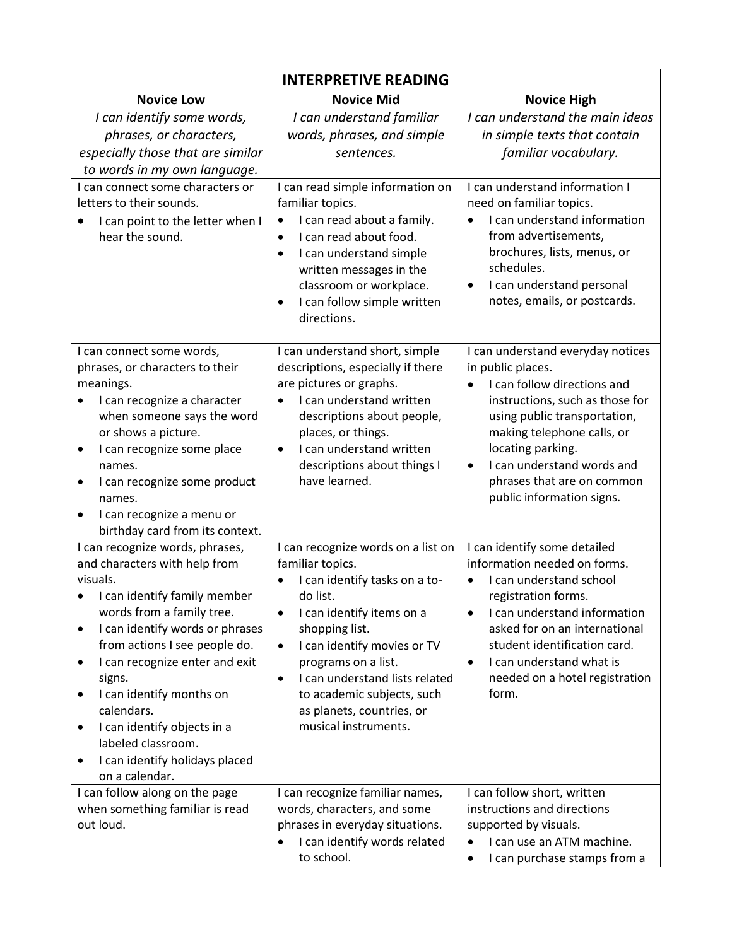| <b>INTERPRETIVE READING</b>                                                                                                                                                                                                                                                                                                                                                                                                           |                                                                                                                                                                                                                                                                                                                                                                      |                                                                                                                                                                                                                                                                                                      |  |
|---------------------------------------------------------------------------------------------------------------------------------------------------------------------------------------------------------------------------------------------------------------------------------------------------------------------------------------------------------------------------------------------------------------------------------------|----------------------------------------------------------------------------------------------------------------------------------------------------------------------------------------------------------------------------------------------------------------------------------------------------------------------------------------------------------------------|------------------------------------------------------------------------------------------------------------------------------------------------------------------------------------------------------------------------------------------------------------------------------------------------------|--|
| <b>Novice Low</b>                                                                                                                                                                                                                                                                                                                                                                                                                     | <b>Novice Mid</b>                                                                                                                                                                                                                                                                                                                                                    | <b>Novice High</b>                                                                                                                                                                                                                                                                                   |  |
| I can identify some words,<br>phrases, or characters,<br>especially those that are similar<br>to words in my own language.                                                                                                                                                                                                                                                                                                            | I can understand familiar<br>words, phrases, and simple<br>sentences.                                                                                                                                                                                                                                                                                                | I can understand the main ideas<br>in simple texts that contain<br>familiar vocabulary.                                                                                                                                                                                                              |  |
| I can connect some characters or<br>letters to their sounds.<br>I can point to the letter when I<br>hear the sound.                                                                                                                                                                                                                                                                                                                   | I can read simple information on<br>familiar topics.<br>I can read about a family.<br>I can read about food.<br>$\bullet$<br>I can understand simple<br>$\bullet$<br>written messages in the<br>classroom or workplace.<br>I can follow simple written<br>$\bullet$<br>directions.                                                                                   | I can understand information I<br>need on familiar topics.<br>I can understand information<br>from advertisements,<br>brochures, lists, menus, or<br>schedules.<br>I can understand personal<br>notes, emails, or postcards.                                                                         |  |
| I can connect some words,<br>phrases, or characters to their<br>meanings.<br>I can recognize a character<br>when someone says the word<br>or shows a picture.<br>I can recognize some place<br>٠<br>names.<br>I can recognize some product<br>٠<br>names.<br>I can recognize a menu or<br>$\bullet$<br>birthday card from its context.                                                                                                | I can understand short, simple<br>descriptions, especially if there<br>are pictures or graphs.<br>I can understand written<br>descriptions about people,<br>places, or things.<br>I can understand written<br>$\bullet$<br>descriptions about things I<br>have learned.                                                                                              | I can understand everyday notices<br>in public places.<br>I can follow directions and<br>instructions, such as those for<br>using public transportation,<br>making telephone calls, or<br>locating parking.<br>I can understand words and<br>phrases that are on common<br>public information signs. |  |
| I can recognize words, phrases,<br>and characters with help from<br>visuals.<br>I can identify family member<br>words from a family tree.<br>I can identify words or phrases<br>٠<br>from actions I see people do.<br>I can recognize enter and exit<br>٠<br>signs.<br>I can identify months on<br>٠<br>calendars.<br>I can identify objects in a<br>٠<br>labeled classroom.<br>I can identify holidays placed<br>٠<br>on a calendar. | I can recognize words on a list on<br>familiar topics.<br>I can identify tasks on a to-<br>do list.<br>I can identify items on a<br>$\bullet$<br>shopping list.<br>I can identify movies or TV<br>$\bullet$<br>programs on a list.<br>I can understand lists related<br>$\bullet$<br>to academic subjects, such<br>as planets, countries, or<br>musical instruments. | I can identify some detailed<br>information needed on forms.<br>I can understand school<br>registration forms.<br>I can understand information<br>asked for on an international<br>student identification card.<br>I can understand what is<br>$\bullet$<br>needed on a hotel registration<br>form.  |  |
| I can follow along on the page<br>when something familiar is read<br>out loud.                                                                                                                                                                                                                                                                                                                                                        | I can recognize familiar names,<br>words, characters, and some<br>phrases in everyday situations.<br>I can identify words related<br>to school.                                                                                                                                                                                                                      | I can follow short, written<br>instructions and directions<br>supported by visuals.<br>I can use an ATM machine.<br>I can purchase stamps from a                                                                                                                                                     |  |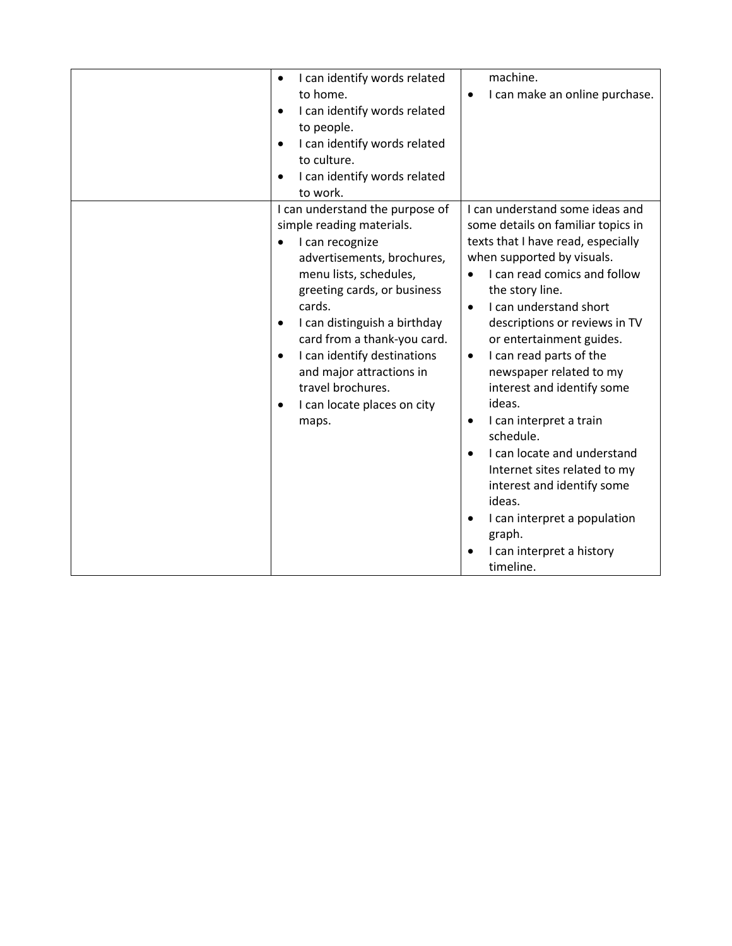| I can identify words related<br>$\bullet$<br>to home.<br>I can identify words related<br>$\bullet$<br>to people.<br>I can identify words related<br>$\bullet$<br>to culture.<br>I can identify words related<br>$\bullet$<br>to work.                                                                                                                                                                          | machine.<br>I can make an online purchase.<br>$\bullet$                                                                                                                                                                                                                                                                                                                                                                                                                                                                                                                                                                                                                                    |
|----------------------------------------------------------------------------------------------------------------------------------------------------------------------------------------------------------------------------------------------------------------------------------------------------------------------------------------------------------------------------------------------------------------|--------------------------------------------------------------------------------------------------------------------------------------------------------------------------------------------------------------------------------------------------------------------------------------------------------------------------------------------------------------------------------------------------------------------------------------------------------------------------------------------------------------------------------------------------------------------------------------------------------------------------------------------------------------------------------------------|
| I can understand the purpose of<br>simple reading materials.<br>I can recognize<br>advertisements, brochures,<br>menu lists, schedules,<br>greeting cards, or business<br>cards.<br>I can distinguish a birthday<br>$\bullet$<br>card from a thank-you card.<br>I can identify destinations<br>$\bullet$<br>and major attractions in<br>travel brochures.<br>I can locate places on city<br>$\bullet$<br>maps. | I can understand some ideas and<br>some details on familiar topics in<br>texts that I have read, especially<br>when supported by visuals.<br>I can read comics and follow<br>$\bullet$<br>the story line.<br>I can understand short<br>$\bullet$<br>descriptions or reviews in TV<br>or entertainment guides.<br>I can read parts of the<br>$\bullet$<br>newspaper related to my<br>interest and identify some<br>ideas.<br>I can interpret a train<br>$\bullet$<br>schedule.<br>I can locate and understand<br>Internet sites related to my<br>interest and identify some<br>ideas.<br>I can interpret a population<br>٠<br>graph.<br>I can interpret a history<br>$\bullet$<br>timeline. |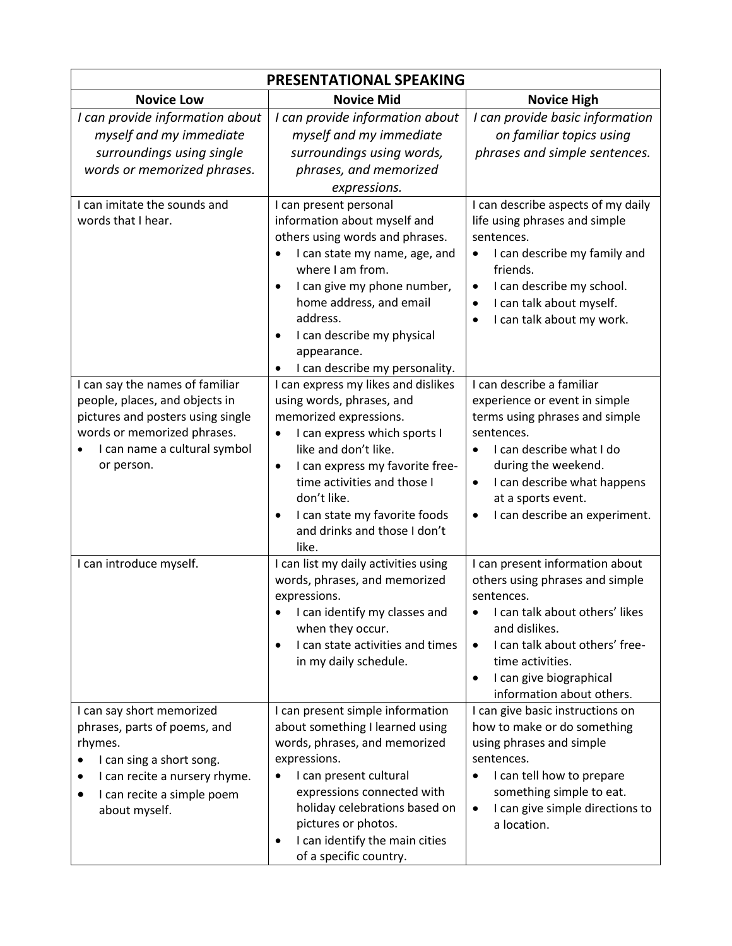| PRESENTATIONAL SPEAKING                                                                                                                                                                    |                                                                                                                                                                                                                                                                                                                                               |                                                                                                                                                                                                                                                                               |  |
|--------------------------------------------------------------------------------------------------------------------------------------------------------------------------------------------|-----------------------------------------------------------------------------------------------------------------------------------------------------------------------------------------------------------------------------------------------------------------------------------------------------------------------------------------------|-------------------------------------------------------------------------------------------------------------------------------------------------------------------------------------------------------------------------------------------------------------------------------|--|
| <b>Novice Low</b>                                                                                                                                                                          | <b>Novice Mid</b>                                                                                                                                                                                                                                                                                                                             | <b>Novice High</b>                                                                                                                                                                                                                                                            |  |
| I can provide information about<br>myself and my immediate<br>surroundings using single<br>words or memorized phrases.                                                                     | I can provide information about<br>myself and my immediate<br>surroundings using words,<br>phrases, and memorized                                                                                                                                                                                                                             | I can provide basic information<br>on familiar topics using<br>phrases and simple sentences.                                                                                                                                                                                  |  |
| I can imitate the sounds and<br>words that I hear.                                                                                                                                         | expressions.<br>I can present personal<br>information about myself and<br>others using words and phrases.<br>I can state my name, age, and<br>where I am from.<br>I can give my phone number,<br>$\bullet$<br>home address, and email<br>address.<br>I can describe my physical<br>$\bullet$<br>appearance.<br>I can describe my personality. | I can describe aspects of my daily<br>life using phrases and simple<br>sentences.<br>I can describe my family and<br>$\bullet$<br>friends.<br>I can describe my school.<br>$\bullet$<br>I can talk about myself.<br>$\bullet$<br>I can talk about my work.                    |  |
| I can say the names of familiar<br>people, places, and objects in<br>pictures and posters using single<br>words or memorized phrases.<br>I can name a cultural symbol<br>or person.        | I can express my likes and dislikes<br>using words, phrases, and<br>memorized expressions.<br>I can express which sports I<br>٠<br>like and don't like.<br>I can express my favorite free-<br>$\bullet$<br>time activities and those I<br>don't like.<br>I can state my favorite foods<br>$\bullet$<br>and drinks and those I don't<br>like.  | I can describe a familiar<br>experience or event in simple<br>terms using phrases and simple<br>sentences.<br>I can describe what I do<br>during the weekend.<br>I can describe what happens<br>$\bullet$<br>at a sports event.<br>I can describe an experiment.<br>$\bullet$ |  |
| I can introduce myself.                                                                                                                                                                    | I can list my daily activities using<br>words, phrases, and memorized<br>expressions.<br>I can identify my classes and<br>$\bullet$<br>when they occur.<br>I can state activities and times<br>$\bullet$<br>in my daily schedule.                                                                                                             | I can present information about<br>others using phrases and simple<br>sentences.<br>I can talk about others' likes<br>and dislikes.<br>I can talk about others' free-<br>$\bullet$<br>time activities.<br>I can give biographical<br>$\bullet$<br>information about others.   |  |
| I can say short memorized<br>phrases, parts of poems, and<br>rhymes.<br>I can sing a short song.<br>I can recite a nursery rhyme.<br>٠<br>I can recite a simple poem<br>٠<br>about myself. | I can present simple information<br>about something I learned using<br>words, phrases, and memorized<br>expressions.<br>I can present cultural<br>$\bullet$<br>expressions connected with<br>holiday celebrations based on<br>pictures or photos.<br>I can identify the main cities<br>$\bullet$<br>of a specific country.                    | I can give basic instructions on<br>how to make or do something<br>using phrases and simple<br>sentences.<br>I can tell how to prepare<br>$\bullet$<br>something simple to eat.<br>I can give simple directions to<br>$\bullet$<br>a location.                                |  |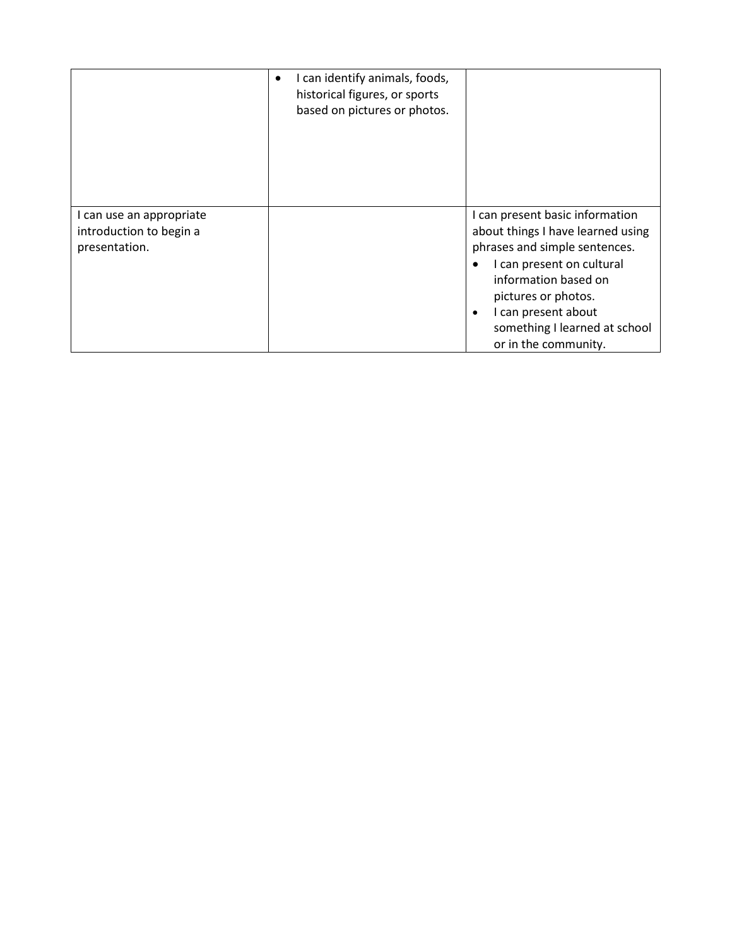|                                                                      | I can identify animals, foods,<br>$\bullet$<br>historical figures, or sports<br>based on pictures or photos. |                                                                                                                                                                                                                                                                                |
|----------------------------------------------------------------------|--------------------------------------------------------------------------------------------------------------|--------------------------------------------------------------------------------------------------------------------------------------------------------------------------------------------------------------------------------------------------------------------------------|
| I can use an appropriate<br>introduction to begin a<br>presentation. |                                                                                                              | I can present basic information<br>about things I have learned using<br>phrases and simple sentences.<br>I can present on cultural<br>information based on<br>pictures or photos.<br>I can present about<br>$\bullet$<br>something I learned at school<br>or in the community. |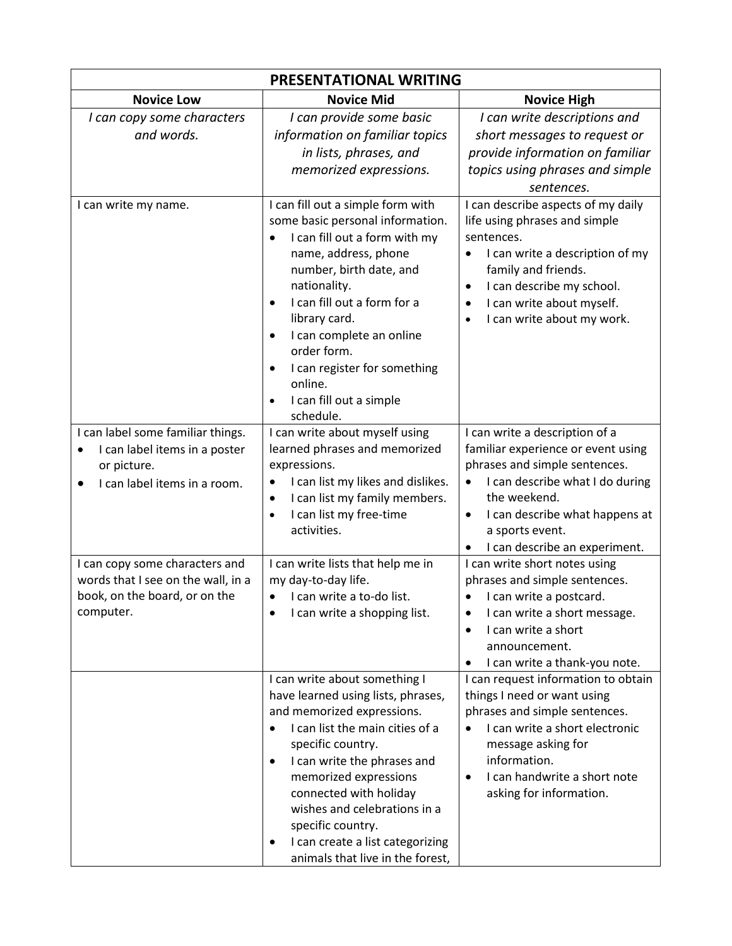| PRESENTATIONAL WRITING                                                                                                                      |                                                                                                                                                                                                                                                                                                                                                                                                                          |                                                                                                                                                                                                                                                                                         |  |
|---------------------------------------------------------------------------------------------------------------------------------------------|--------------------------------------------------------------------------------------------------------------------------------------------------------------------------------------------------------------------------------------------------------------------------------------------------------------------------------------------------------------------------------------------------------------------------|-----------------------------------------------------------------------------------------------------------------------------------------------------------------------------------------------------------------------------------------------------------------------------------------|--|
| <b>Novice Low</b>                                                                                                                           | <b>Novice Mid</b>                                                                                                                                                                                                                                                                                                                                                                                                        | <b>Novice High</b>                                                                                                                                                                                                                                                                      |  |
| I can copy some characters<br>and words.                                                                                                    | I can provide some basic<br>information on familiar topics<br>in lists, phrases, and<br>memorized expressions.                                                                                                                                                                                                                                                                                                           | I can write descriptions and<br>short messages to request or<br>provide information on familiar<br>topics using phrases and simple                                                                                                                                                      |  |
|                                                                                                                                             |                                                                                                                                                                                                                                                                                                                                                                                                                          | sentences.                                                                                                                                                                                                                                                                              |  |
| I can write my name.                                                                                                                        | I can fill out a simple form with<br>some basic personal information.<br>I can fill out a form with my<br>$\bullet$<br>name, address, phone<br>number, birth date, and<br>nationality.<br>I can fill out a form for a<br>$\bullet$<br>library card.<br>I can complete an online<br>$\bullet$<br>order form.<br>I can register for something<br>$\bullet$<br>online.<br>I can fill out a simple<br>$\bullet$<br>schedule. | I can describe aspects of my daily<br>life using phrases and simple<br>sentences.<br>I can write a description of my<br>$\bullet$<br>family and friends.<br>I can describe my school.<br>$\bullet$<br>I can write about myself.<br>$\bullet$<br>I can write about my work.<br>$\bullet$ |  |
| I can label some familiar things.<br>I can label items in a poster<br>$\bullet$<br>or picture.<br>I can label items in a room.<br>$\bullet$ | I can write about myself using<br>learned phrases and memorized<br>expressions.<br>I can list my likes and dislikes.<br>$\bullet$<br>I can list my family members.<br>$\bullet$<br>I can list my free-time<br>$\bullet$<br>activities.                                                                                                                                                                                   | I can write a description of a<br>familiar experience or event using<br>phrases and simple sentences.<br>I can describe what I do during<br>$\bullet$<br>the weekend.<br>I can describe what happens at<br>$\bullet$<br>a sports event.<br>I can describe an experiment.<br>$\bullet$   |  |
| I can copy some characters and<br>words that I see on the wall, in a<br>book, on the board, or on the<br>computer.                          | I can write lists that help me in<br>my day-to-day life.<br>I can write a to-do list.<br>$\bullet$<br>I can write a shopping list.                                                                                                                                                                                                                                                                                       | I can write short notes using<br>phrases and simple sentences.<br>I can write a postcard.<br>I can write a short message.<br>٠<br>I can write a short<br>$\bullet$<br>announcement.<br>I can write a thank-you note.<br>$\bullet$                                                       |  |
|                                                                                                                                             | I can write about something I<br>have learned using lists, phrases,<br>and memorized expressions.<br>I can list the main cities of a<br>$\bullet$<br>specific country.<br>I can write the phrases and<br>$\bullet$<br>memorized expressions<br>connected with holiday<br>wishes and celebrations in a<br>specific country.<br>I can create a list categorizing<br>٠<br>animals that live in the forest,                  | I can request information to obtain<br>things I need or want using<br>phrases and simple sentences.<br>I can write a short electronic<br>$\bullet$<br>message asking for<br>information.<br>I can handwrite a short note<br>$\bullet$<br>asking for information.                        |  |